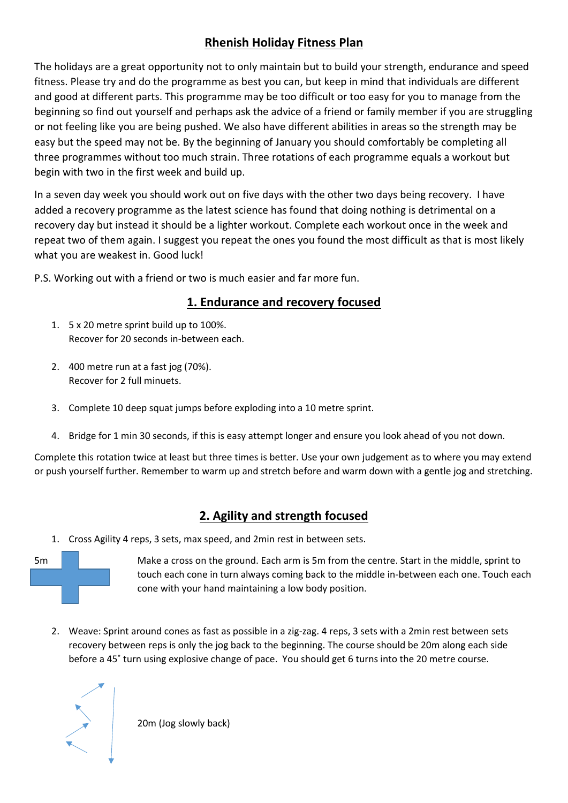## **Rhenish Holiday Fitness Plan**

The holidays are a great opportunity not to only maintain but to build your strength, endurance and speed fitness. Please try and do the programme as best you can, but keep in mind that individuals are different and good at different parts. This programme may be too difficult or too easy for you to manage from the beginning so find out yourself and perhaps ask the advice of a friend or family member if you are struggling or not feeling like you are being pushed. We also have different abilities in areas so the strength may be easy but the speed may not be. By the beginning of January you should comfortably be completing all three programmes without too much strain. Three rotations of each programme equals a workout but begin with two in the first week and build up.

In a seven day week you should work out on five days with the other two days being recovery. I have added a recovery programme as the latest science has found that doing nothing is detrimental on a recovery day but instead it should be a lighter workout. Complete each workout once in the week and repeat two of them again. I suggest you repeat the ones you found the most difficult as that is most likely what you are weakest in. Good luck!

P.S. Working out with a friend or two is much easier and far more fun.

## **1. Endurance and recovery focused**

- 1. 5 x 20 metre sprint build up to 100%. Recover for 20 seconds in-between each.
- 2. 400 metre run at a fast jog (70%). Recover for 2 full minuets.
- 3. Complete 10 deep squat jumps before exploding into a 10 metre sprint.
- 4. Bridge for 1 min 30 seconds, if this is easy attempt longer and ensure you look ahead of you not down.

Complete this rotation twice at least but three times is better. Use your own judgement as to where you may extend or push yourself further. Remember to warm up and stretch before and warm down with a gentle jog and stretching.

# **2. Agility and strength focused**

1. Cross Agility 4 reps, 3 sets, max speed, and 2min rest in between sets.



5m Make a cross on the ground. Each arm is 5m from the centre. Start in the middle, sprint to touch each cone in turn always coming back to the middle in-between each one. Touch each cone with your hand maintaining a low body position.

2. Weave: Sprint around cones as fast as possible in a zig-zag. 4 reps, 3 sets with a 2min rest between sets recovery between reps is only the jog back to the beginning. The course should be 20m along each side before a 45˚ turn using explosive change of pace. You should get 6 turns into the 20 metre course.



20m (Jog slowly back)